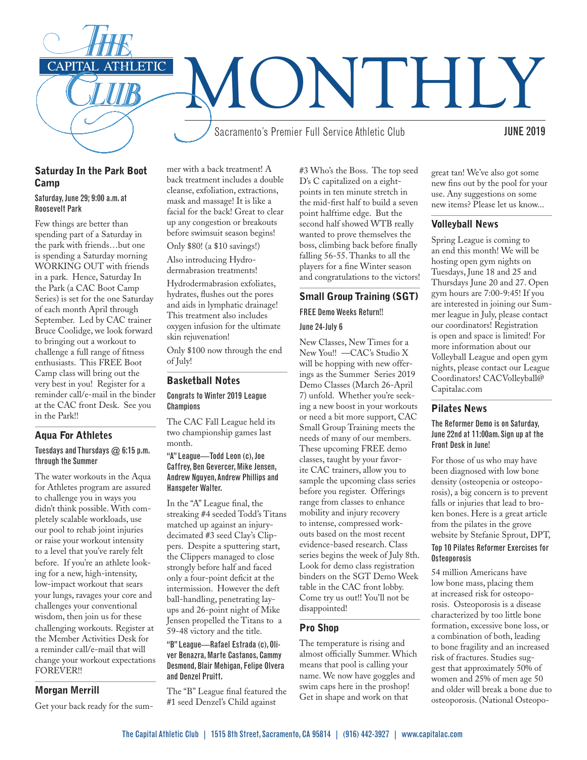

# Saturday In the Park Boot Camp

#### Saturday, June 29; 9:00 a.m. at Roosevelt Park

Few things are better than spending part of a Saturday in the park with friends…but one is spending a Saturday morning WORKING OUT with friends in a park. Hence, Saturday In the Park (a CAC Boot Camp Series) is set for the one Saturday of each month April through September. Led by CAC trainer Bruce Coolidge, we look forward to bringing out a workout to challenge a full range of fitness enthusiasts. This FREE Boot Camp class will bring out the very best in you! Register for a reminder call/e-mail in the binder at the CAC front Desk. See you in the Park!!

# Aqua For Athletes

# Tuesdays and Thursdays  $@$  6:15 p.m. through the Summer

The water workouts in the Aqua for Athletes program are assured to challenge you in ways you didn't think possible. With completely scalable workloads, use our pool to rehab joint injuries or raise your workout intensity to a level that you've rarely felt before. If you're an athlete looking for a new, high-intensity, low-impact workout that sears your lungs, ravages your core and challenges your conventional wisdom, then join us for these challenging workouts. Register at the Member Activities Desk for a reminder call/e-mail that will change your workout expectations FOREVER!!

# Morgan Merrill

Get your back ready for the sum-

mer with a back treatment! A back treatment includes a double cleanse, exfoliation, extractions, mask and massage! It is like a facial for the back! Great to clear up any congestion or breakouts before swimsuit season begins! Only \$80! (a \$10 savings!)

Also introducing Hydrodermabrasion treatments!

Hydrodermabrasion exfoliates, hydrates, flushes out the pores and aids in lymphatic drainage! This treatment also includes oxygen infusion for the ultimate skin rejuvenation!

Only \$100 now through the end of July!

# Basketball Notes

#### Congrats to Winter 2019 League **Champions**

The CAC Fall League held its two championship games last month.

#### "A" League—Todd Leon (c), Joe Caffrey, Ben Gevercer, Mike Jensen, Andrew Nguyen, Andrew Phillips and Hanspeter Walter.

In the "A" League final, the streaking #4 seeded Todd's Titans matched up against an injurydecimated #3 seed Clay's Clippers. Despite a sputtering start, the Clippers managed to close strongly before half and faced only a four-point deficit at the intermission. However the deft ball-handling, penetrating layups and 26-point night of Mike Jensen propelled the Titans to a 59-48 victory and the title.

"B" League—Rafael Estrada (c), Oliver Benazra, Marte Castanos, Cammy Desmond, Blair Mehigan, Felipe Olvera and Denzel Pruitt.

The "B" League final featured the #1 seed Denzel's Child against

#3 Who's the Boss. The top seed D's C capitalized on a eightpoints in ten minute stretch in the mid-first half to build a seven point halftime edge. But the second half showed WTB really wanted to prove themselves the boss, climbing back before finally falling 56-55. Thanks to all the players for a fine Winter season and congratulations to the victors!

#### Small Group Training (SGT)

### FREE Demo Weeks Return!!

#### June 24-July 6

New Classes, New Times for a New You!! —CAC's Studio X will be hopping with new offerings as the Summer Series 2019 Demo Classes (March 26-April 7) unfold. Whether you're seeking a new boost in your workouts or need a bit more support, CAC Small Group Training meets the needs of many of our members. These upcoming FREE demo classes, taught by your favorite CAC trainers, allow you to sample the upcoming class series before you register. Offerings range from classes to enhance mobility and injury recovery to intense, compressed workouts based on the most recent evidence-based research. Class series begins the week of July 8th. Look for demo class registration binders on the SGT Demo Week table in the CAC front lobby. Come try us out!! You'll not be disappointed!

# Pro Shop

The temperature is rising and almost officially Summer. Which means that pool is calling your name. We now have goggles and swim caps here in the proshop! Get in shape and work on that

great tan! We've also got some new fins out by the pool for your use. Any suggestions on some new items? Please let us know...

# Volleyball News

Spring League is coming to an end this month! We will be hosting open gym nights on Tuesdays, June 18 and 25 and Thursdays June 20 and 27. Open gym hours are 7:00-9:45! If you are interested in joining our Summer league in July, please contact our coordinators! Registration is open and space is limited! For more information about our Volleyball League and open gym nights, please contact our League Coordinators! CACVolleyball@ Capitalac.com

#### Pilates News

#### The Reformer Demo is on Saturday, June 22nd at 11:00am. Sign up at the Front Desk in June!

For those of us who may have been diagnosed with low bone density (osteopenia or osteoporosis), a big concern is to prevent falls or injuries that lead to broken bones. Here is a great article from the pilates in the grove website by Stefanie Sprout, DPT,

# Top 10 Pilates Reformer Exercises for **Osteoporosis**

54 million Americans have low bone mass, placing them at increased risk for osteoporosis. Osteoporosis is a disease characterized by too little bone formation, excessive bone loss, or a combination of both, leading to bone fragility and an increased risk of fractures. Studies suggest that approximately 50% of women and 25% of men age 50 and older will break a bone due to osteoporosis. (National Osteopo-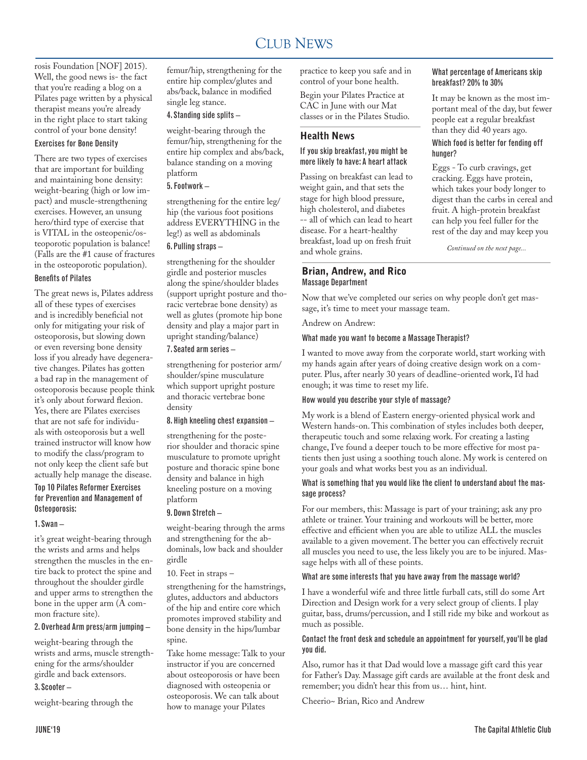#### CLUB NEWS 2000 FOR THE NEWS 2000 FOR THE NEWS 2000 FOR THE NEWS 2000 FOR THE NEWS 2000 FOR THE NEWS 2000 FOR THE NEWS 2000 FOR THE NEWS 2000 FOR THE NEWS 2000 FOR THE NEWS 2000 FOR THE NEWS 2000 FOR THE NEWS 2000 FOR THE N CLUB NEWS

rosis Foundation [NOF] 2015). Well, the good news is- the fact that you're reading a blog on a Pilates page written by a physical therapist means you're already in the right place to start taking control of your bone density!

#### Exercises for Bone Density

There are two types of exercises that are important for building and maintaining bone density: weight-bearing (high or low impact) and muscle-strengthening exercises. However, an unsung hero/third type of exercise that is VITAL in the osteopenic/osteoporotic population is balance! (Falls are the #1 cause of fractures in the osteoporotic population).

#### Benefits of Pilates

The great news is, Pilates address all of these types of exercises and is incredibly beneficial not only for mitigating your risk of osteoporosis, but slowing down or even reversing bone density loss if you already have degenerative changes. Pilates has gotten a bad rap in the management of osteoporosis because people think it's only about forward flexion. Yes, there are Pilates exercises that are not safe for individuals with osteoporosis but a well trained instructor will know how to modify the class/program to not only keep the client safe but actually help manage the disease.

#### Top 10 Pilates Reformer Exercises for Prevention and Management of Osteoporosis:

#### 1. Swan –

it's great weight-bearing through the wrists and arms and helps strengthen the muscles in the entire back to protect the spine and throughout the shoulder girdle and upper arms to strengthen the bone in the upper arm (A common fracture site).

#### 2. Overhead Arm press/arm jumping –

weight-bearing through the wrists and arms, muscle strengthening for the arms/shoulder girdle and back extensors.

#### 3. Scooter –

weight-bearing through the

femur/hip, strengthening for the entire hip complex/glutes and abs/back, balance in modified single leg stance.

4. Standing side splits –

weight-bearing through the femur/hip, strengthening for the entire hip complex and abs/back, balance standing on a moving platform

### 5. Footwork –

strengthening for the entire leg/ hip (the various foot positions address EVERYTHING in the leg!) as well as abdominals

#### 6. Pulling straps –

strengthening for the shoulder girdle and posterior muscles along the spine/shoulder blades (support upright posture and thoracic vertebrae bone density) as well as glutes (promote hip bone density and play a major part in upright standing/balance)

### 7. Seated arm series –

strengthening for posterior arm/ shoulder/spine musculature which support upright posture and thoracic vertebrae bone density

#### 8. High kneeling chest expansion –

strengthening for the posterior shoulder and thoracic spine musculature to promote upright posture and thoracic spine bone density and balance in high kneeling posture on a moving platform

#### 9. Down Stretch –

weight-bearing through the arms and strengthening for the abdominals, low back and shoulder girdle

10. Feet in straps –

strengthening for the hamstrings, glutes, adductors and abductors of the hip and entire core which promotes improved stability and bone density in the hips/lumbar spine.

Take home message: Talk to your instructor if you are concerned about osteoporosis or have been diagnosed with osteopenia or osteoporosis. We can talk about how to manage your Pilates

practice to keep you safe and in control of your bone health.

Begin your Pilates Practice at CAC in June with our Mat classes or in the Pilates Studio.

# Health News

#### If you skip breakfast, you might be more likely to have: A heart attack

Passing on breakfast can lead to weight gain, and that sets the stage for high blood pressure, high cholesterol, and diabetes -- all of which can lead to heart disease. For a heart-healthy breakfast, load up on fresh fruit and whole grains.

### Brian, Andrew, and Rico Massage Department

#### Now that we've completed our series on why people don't get massage, it's time to meet your massage team.

What percentage of Americans skip

It may be known as the most important meal of the day, but fewer people eat a regular breakfast than they did 40 years ago. Which food is better for fending off

Eggs - To curb cravings, get cracking. Eggs have protein, which takes your body longer to digest than the carbs in cereal and fruit. A high-protein breakfast can help you feel fuller for the rest of the day and may keep you

*Continued on the next page...*

breakfast? 20% to 30%

hunger?

Andrew on Andrew:

#### What made you want to become a Massage Therapist?

I wanted to move away from the corporate world, start working with my hands again after years of doing creative design work on a computer. Plus, after nearly 30 years of deadline-oriented work, I'd had enough; it was time to reset my life.

#### How would you describe your style of massage?

My work is a blend of Eastern energy-oriented physical work and Western hands-on. This combination of styles includes both deeper, therapeutic touch and some relaxing work. For creating a lasting change, I've found a deeper touch to be more effective for most patients then just using a soothing touch alone. My work is centered on your goals and what works best you as an individual.

#### What is something that you would like the client to understand about the massage process?

For our members, this: Massage is part of your training; ask any pro athlete or trainer. Your training and workouts will be better, more effective and efficient when you are able to utilize ALL the muscles available to a given movement. The better you can effectively recruit all muscles you need to use, the less likely you are to be injured. Massage helps with all of these points.

# What are some interests that you have away from the massage world?

I have a wonderful wife and three little furball cats, still do some Art Direction and Design work for a very select group of clients. I play guitar, bass, drums/percussion, and I still ride my bike and workout as much as possible.

#### Contact the front desk and schedule an appointment for yourself, you'll be glad you did.

Also, rumor has it that Dad would love a massage gift card this year for Father's Day. Massage gift cards are available at the front desk and remember; you didn't hear this from us… hint, hint.

Cheerio~ Brian, Rico and Andrew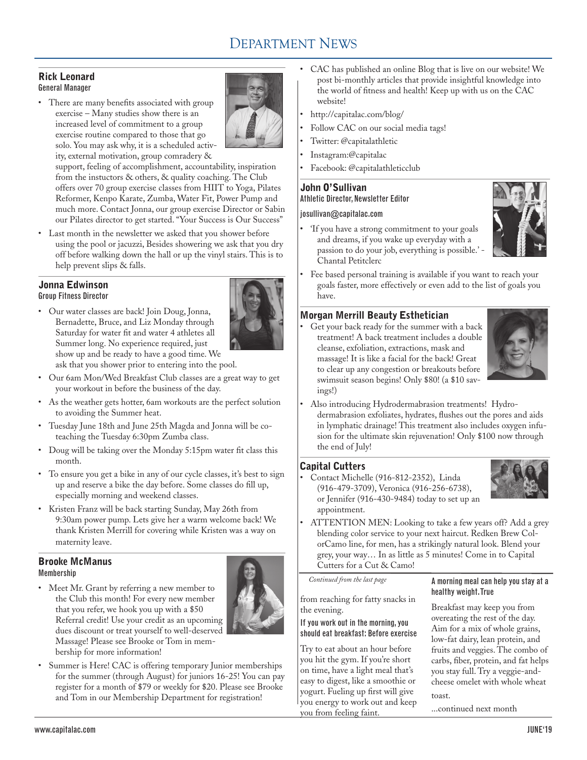# DEPARTMENT NEWS

# Rick Leonard General Manager

• There are many benefits associated with group exercise – Many studies show there is an increased level of commitment to a group exercise routine compared to those that go solo. You may ask why, it is a scheduled activity, external motivation, group comradery &



support, feeling of accomplishment, accountability, inspiration from the instuctors & others, & quality coaching. The Club offers over 70 group exercise classes from HIIT to Yoga, Pilates Reformer, Kenpo Karate, Zumba, Water Fit, Power Pump and much more. Contact Jonna, our group exercise Director or Sabin our Pilates director to get started. "Your Success is Our Success"

• Last month in the newsletter we asked that you shower before using the pool or jacuzzi, Besides showering we ask that you dry off before walking down the hall or up the vinyl stairs. This is to help prevent slips & falls.

#### Jonna Edwinson Group Fitness Director



• Our water classes are back! Join Doug, Jonna, Bernadette, Bruce, and Liz Monday through Saturday for water fit and water 4 athletes all Summer long. No experience required, just show up and be ready to have a good time. We ask that you shower prior to entering into the pool.

- • Our 6am Mon/Wed Breakfast Club classes are a great way to get your workout in before the business of the day.
- • As the weather gets hotter, 6am workouts are the perfect solution to avoiding the Summer heat.
- • Tuesday June 18th and June 25th Magda and Jonna will be coteaching the Tuesday 6:30pm Zumba class.
- • Doug will be taking over the Monday 5:15pm water fit class this month.
- • To ensure you get a bike in any of our cycle classes, it's best to sign up and reserve a bike the day before. Some classes do fill up, especially morning and weekend classes.
- • Kristen Franz will be back starting Sunday, May 26th from 9:30am power pump. Lets give her a warm welcome back! We thank Kristen Merrill for covering while Kristen was a way on maternity leave.

# Brooke McManus Membership

• Meet Mr. Grant by referring a new member to the Club this month! For every new member that you refer, we hook you up with a \$50 Referral credit! Use your credit as an upcoming dues discount or treat yourself to well-deserved Massage! Please see Brooke or Tom in membership for more information!



Summer is Here! CAC is offering temporary Junior memberships for the summer (through August) for juniors 16-25! You can pay register for a month of \$79 or weekly for \$20. Please see Brooke and Tom in our Membership Department for registration!

- CAC has published an online Blog that is live on our website! We post bi-monthly articles that provide insightful knowledge into the world of fitness and health! Keep up with us on the CAC website!
- http://capitalac.com/blog/
- Follow CAC on our social media tags!
- Twitter: @capitalathletic
- Instagram:@capitalac
- Facebook: @capitalathleticclub

# John O'Sullivan

# Athletic Director, Newsletter Editor

#### josullivan@capitalac.com

• 'If you have a strong commitment to your goals and dreams, if you wake up everyday with a passion to do your job, everything is possible.' Chantal Petitclerc



Fee based personal training is available if you want to reach your goals faster, more effectively or even add to the list of goals you have.

# Morgan Merrill Beauty Esthetician

Get your back ready for the summer with a back treatment! A back treatment includes a double cleanse, exfoliation, extractions, mask and massage! It is like a facial for the back! Great to clear up any congestion or breakouts before swimsuit season begins! Only \$80! (a \$10 savings!)



Also introducing Hydrodermabrasion treatments! Hydrodermabrasion exfoliates, hydrates, flushes out the pores and aids in lymphatic drainage! This treatment also includes oxygen infusion for the ultimate skin rejuvenation! Only \$100 now through the end of July!

# Capital Cutters

Contact Michelle (916-812-2352), Linda (916-479-3709), Veronica (916-256-6738), or Jennifer (916-430-9484) today to set up an appointment.



ATTENTION MEN: Looking to take a few years off? Add a grey blending color service to your next haircut. Redken Brew ColorCamo line, for men, has a strikingly natural look. Blend your grey, your way… In as little as 5 minutes! Come in to Capital Cutters for a Cut & Camo!

*Continued from the last page*

from reaching for fatty snacks in the evening.

If you work out in the morning, you should eat breakfast: Before exercise

Try to eat about an hour before you hit the gym. If you're short on time, have a light meal that's easy to digest, like a smoothie or yogurt. Fueling up first will give you energy to work out and keep you from feeling faint.

A morning meal can help you stay at a healthy weight. True

Breakfast may keep you from overeating the rest of the day. Aim for a mix of whole grains, low-fat dairy, lean protein, and fruits and veggies. The combo of carbs, fiber, protein, and fat helps you stay full. Try a veggie-andcheese omelet with whole wheat toast.

...continued next month